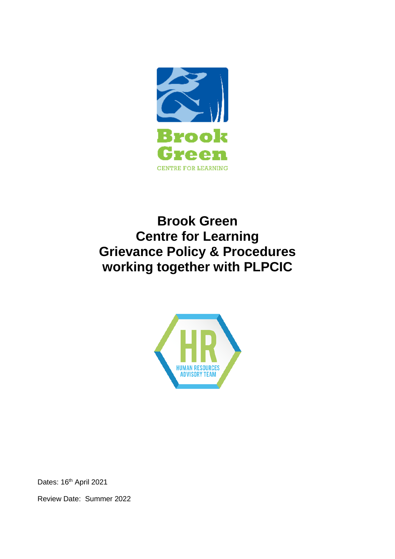

# **Brook Green Centre for Learning Grievance Policy & Procedures working together with PLPCIC**



Dates: 16<sup>th</sup> April 2021

Review Date: Summer 2022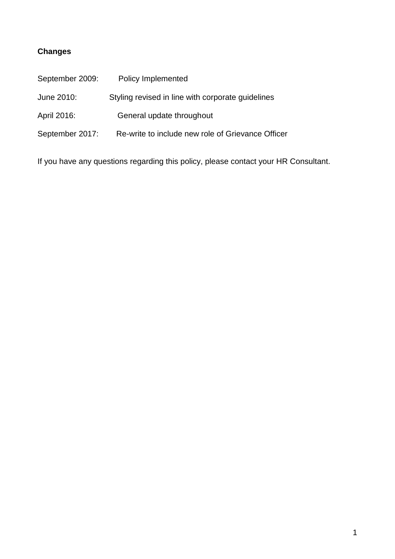## **Changes**

| September 2009: | Policy Implemented                                |
|-----------------|---------------------------------------------------|
| June 2010:      | Styling revised in line with corporate guidelines |
| April 2016:     | General update throughout                         |
| September 2017: | Re-write to include new role of Grievance Officer |
|                 |                                                   |

If you have any questions regarding this policy, please contact your HR Consultant.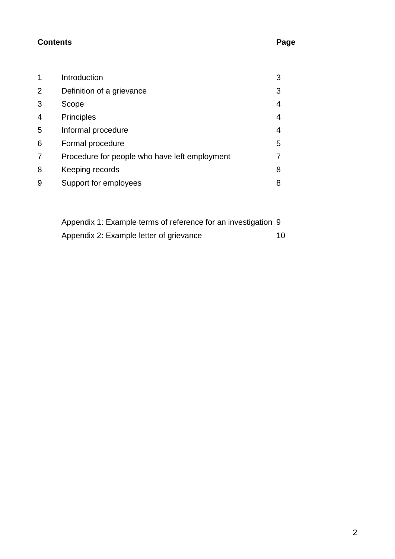## **Contents Page**

|   | Introduction                                  | 3 |
|---|-----------------------------------------------|---|
| 2 | Definition of a grievance                     | 3 |
| 3 | Scope                                         | 4 |
| 4 | <b>Principles</b>                             | 4 |
| 5 | Informal procedure                            | 4 |
| 6 | Formal procedure                              | 5 |
| 7 | Procedure for people who have left employment |   |
| 8 | Keeping records                               | 8 |
| 9 | Support for employees                         | 8 |

| Appendix 1: Example terms of reference for an investigation 9 |      |
|---------------------------------------------------------------|------|
| Appendix 2: Example letter of grievance                       | 10 I |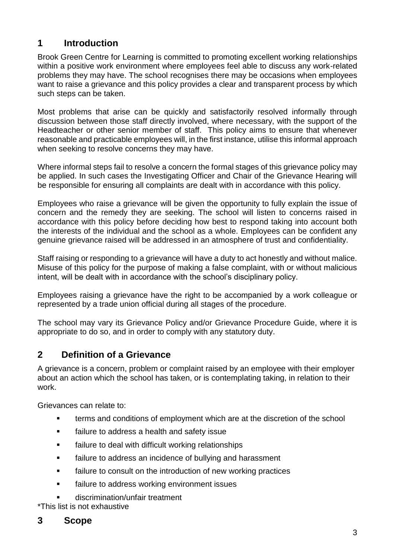## **1 Introduction**

Brook Green Centre for Learning is committed to promoting excellent working relationships within a positive work environment where employees feel able to discuss any work-related problems they may have. The school recognises there may be occasions when employees want to raise a grievance and this policy provides a clear and transparent process by which such steps can be taken.

Most problems that arise can be quickly and satisfactorily resolved informally through discussion between those staff directly involved, where necessary, with the support of the Headteacher or other senior member of staff. This policy aims to ensure that whenever reasonable and practicable employees will, in the first instance, utilise this informal approach when seeking to resolve concerns they may have.

Where informal steps fail to resolve a concern the formal stages of this grievance policy may be applied. In such cases the Investigating Officer and Chair of the Grievance Hearing will be responsible for ensuring all complaints are dealt with in accordance with this policy.

Employees who raise a grievance will be given the opportunity to fully explain the issue of concern and the remedy they are seeking. The school will listen to concerns raised in accordance with this policy before deciding how best to respond taking into account both the interests of the individual and the school as a whole. Employees can be confident any genuine grievance raised will be addressed in an atmosphere of trust and confidentiality.

Staff raising or responding to a grievance will have a duty to act honestly and without malice. Misuse of this policy for the purpose of making a false complaint, with or without malicious intent, will be dealt with in accordance with the school's disciplinary policy.

Employees raising a grievance have the right to be accompanied by a work colleague or represented by a trade union official during all stages of the procedure.

The school may vary its Grievance Policy and/or Grievance Procedure Guide, where it is appropriate to do so, and in order to comply with any statutory duty.

## **2 Definition of a Grievance**

A grievance is a concern, problem or complaint raised by an employee with their employer about an action which the school has taken, or is contemplating taking, in relation to their work.

Grievances can relate to:

- terms and conditions of employment which are at the discretion of the school
- **Failure to address a health and safety issue**
- **Failure to deal with difficult working relationships**
- failure to address an incidence of bullying and harassment
- **Failure to consult on the introduction of new working practices**
- **EXEC** failure to address working environment issues
- discrimination/unfair treatment

\*This list is not exhaustive

#### **3 Scope**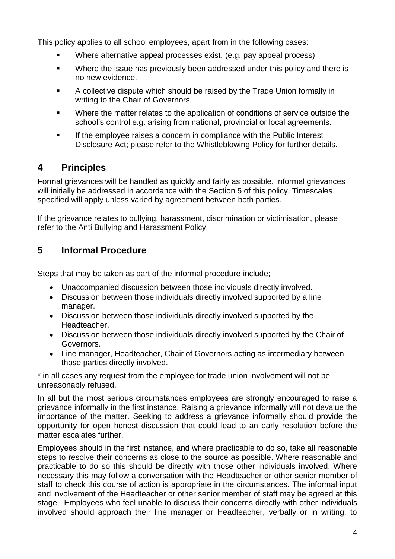This policy applies to all school employees, apart from in the following cases:

- Where alternative appeal processes exist. (e.g. pay appeal process)
- **Where the issue has previously been addressed under this policy and there is** no new evidence.
- A collective dispute which should be raised by the Trade Union formally in writing to the Chair of Governors.
- Where the matter relates to the application of conditions of service outside the school's control e.g. arising from national, provincial or local agreements.
- If the employee raises a concern in compliance with the Public Interest Disclosure Act; please refer to the Whistleblowing Policy for further details.

## **4 Principles**

Formal grievances will be handled as quickly and fairly as possible. Informal grievances will initially be addressed in accordance with the Section 5 of this policy. Timescales specified will apply unless varied by agreement between both parties.

If the grievance relates to bullying, harassment, discrimination or victimisation, please refer to the Anti Bullying and Harassment Policy.

## **5 Informal Procedure**

Steps that may be taken as part of the informal procedure include;

- Unaccompanied discussion between those individuals directly involved.
- Discussion between those individuals directly involved supported by a line manager.
- Discussion between those individuals directly involved supported by the Headteacher.
- Discussion between those individuals directly involved supported by the Chair of Governors.
- Line manager, Headteacher, Chair of Governors acting as intermediary between those parties directly involved.

\* in all cases any request from the employee for trade union involvement will not be unreasonably refused.

In all but the most serious circumstances employees are strongly encouraged to raise a grievance informally in the first instance. Raising a grievance informally will not devalue the importance of the matter. Seeking to address a grievance informally should provide the opportunity for open honest discussion that could lead to an early resolution before the matter escalates further.

Employees should in the first instance, and where practicable to do so, take all reasonable steps to resolve their concerns as close to the source as possible. Where reasonable and practicable to do so this should be directly with those other individuals involved. Where necessary this may follow a conversation with the Headteacher or other senior member of staff to check this course of action is appropriate in the circumstances. The informal input and involvement of the Headteacher or other senior member of staff may be agreed at this stage. Employees who feel unable to discuss their concerns directly with other individuals involved should approach their line manager or Headteacher, verbally or in writing, to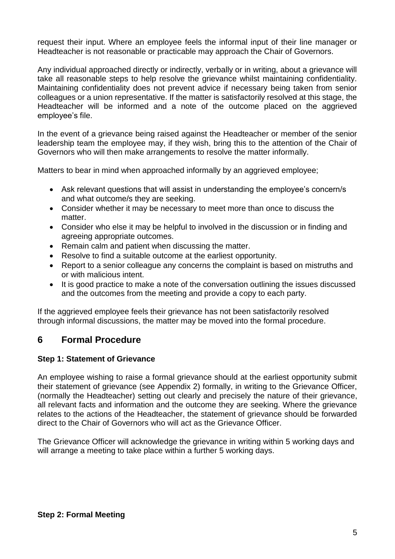request their input. Where an employee feels the informal input of their line manager or Headteacher is not reasonable or practicable may approach the Chair of Governors.

Any individual approached directly or indirectly, verbally or in writing, about a grievance will take all reasonable steps to help resolve the grievance whilst maintaining confidentiality. Maintaining confidentiality does not prevent advice if necessary being taken from senior colleagues or a union representative. If the matter is satisfactorily resolved at this stage, the Headteacher will be informed and a note of the outcome placed on the aggrieved employee's file.

In the event of a grievance being raised against the Headteacher or member of the senior leadership team the employee may, if they wish, bring this to the attention of the Chair of Governors who will then make arrangements to resolve the matter informally.

Matters to bear in mind when approached informally by an aggrieved employee;

- Ask relevant questions that will assist in understanding the employee's concern/s and what outcome/s they are seeking.
- Consider whether it may be necessary to meet more than once to discuss the matter.
- Consider who else it may be helpful to involved in the discussion or in finding and agreeing appropriate outcomes.
- Remain calm and patient when discussing the matter.
- Resolve to find a suitable outcome at the earliest opportunity.
- Report to a senior colleague any concerns the complaint is based on mistruths and or with malicious intent.
- It is good practice to make a note of the conversation outlining the issues discussed and the outcomes from the meeting and provide a copy to each party.

If the aggrieved employee feels their grievance has not been satisfactorily resolved through informal discussions, the matter may be moved into the formal procedure.

### **6 Formal Procedure**

#### **Step 1: Statement of Grievance**

An employee wishing to raise a formal grievance should at the earliest opportunity submit their statement of grievance (see Appendix 2) formally, in writing to the Grievance Officer, (normally the Headteacher) setting out clearly and precisely the nature of their grievance, all relevant facts and information and the outcome they are seeking. Where the grievance relates to the actions of the Headteacher, the statement of grievance should be forwarded direct to the Chair of Governors who will act as the Grievance Officer.

The Grievance Officer will acknowledge the grievance in writing within 5 working days and will arrange a meeting to take place within a further 5 working days.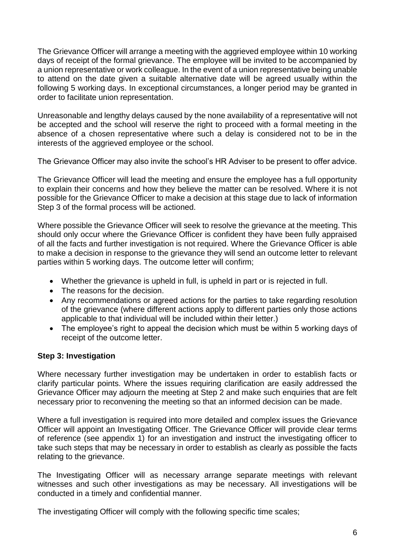The Grievance Officer will arrange a meeting with the aggrieved employee within 10 working days of receipt of the formal grievance. The employee will be invited to be accompanied by a union representative or work colleague. In the event of a union representative being unable to attend on the date given a suitable alternative date will be agreed usually within the following 5 working days. In exceptional circumstances, a longer period may be granted in order to facilitate union representation.

Unreasonable and lengthy delays caused by the none availability of a representative will not be accepted and the school will reserve the right to proceed with a formal meeting in the absence of a chosen representative where such a delay is considered not to be in the interests of the aggrieved employee or the school.

The Grievance Officer may also invite the school's HR Adviser to be present to offer advice.

The Grievance Officer will lead the meeting and ensure the employee has a full opportunity to explain their concerns and how they believe the matter can be resolved. Where it is not possible for the Grievance Officer to make a decision at this stage due to lack of information Step 3 of the formal process will be actioned.

Where possible the Grievance Officer will seek to resolve the grievance at the meeting. This should only occur where the Grievance Officer is confident they have been fully appraised of all the facts and further investigation is not required. Where the Grievance Officer is able to make a decision in response to the grievance they will send an outcome letter to relevant parties within 5 working days. The outcome letter will confirm;

- Whether the grievance is upheld in full, is upheld in part or is rejected in full.
- The reasons for the decision.
- Any recommendations or agreed actions for the parties to take regarding resolution of the grievance (where different actions apply to different parties only those actions applicable to that individual will be included within their letter.)
- The employee's right to appeal the decision which must be within 5 working days of receipt of the outcome letter.

#### **Step 3: Investigation**

Where necessary further investigation may be undertaken in order to establish facts or clarify particular points. Where the issues requiring clarification are easily addressed the Grievance Officer may adjourn the meeting at Step 2 and make such enquiries that are felt necessary prior to reconvening the meeting so that an informed decision can be made.

Where a full investigation is required into more detailed and complex issues the Grievance Officer will appoint an Investigating Officer. The Grievance Officer will provide clear terms of reference (see appendix 1) for an investigation and instruct the investigating officer to take such steps that may be necessary in order to establish as clearly as possible the facts relating to the grievance.

The Investigating Officer will as necessary arrange separate meetings with relevant witnesses and such other investigations as may be necessary. All investigations will be conducted in a timely and confidential manner.

The investigating Officer will comply with the following specific time scales;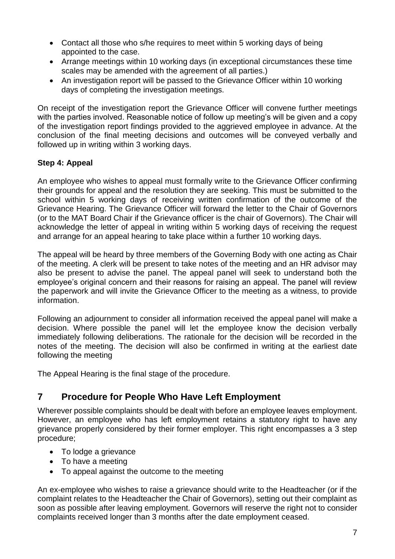- Contact all those who s/he requires to meet within 5 working days of being appointed to the case.
- Arrange meetings within 10 working days (in exceptional circumstances these time scales may be amended with the agreement of all parties.)
- An investigation report will be passed to the Grievance Officer within 10 working days of completing the investigation meetings.

On receipt of the investigation report the Grievance Officer will convene further meetings with the parties involved. Reasonable notice of follow up meeting's will be given and a copy of the investigation report findings provided to the aggrieved employee in advance. At the conclusion of the final meeting decisions and outcomes will be conveyed verbally and followed up in writing within 3 working days.

#### **Step 4: Appeal**

An employee who wishes to appeal must formally write to the Grievance Officer confirming their grounds for appeal and the resolution they are seeking. This must be submitted to the school within 5 working days of receiving written confirmation of the outcome of the Grievance Hearing. The Grievance Officer will forward the letter to the Chair of Governors (or to the MAT Board Chair if the Grievance officer is the chair of Governors). The Chair will acknowledge the letter of appeal in writing within 5 working days of receiving the request and arrange for an appeal hearing to take place within a further 10 working days.

The appeal will be heard by three members of the Governing Body with one acting as Chair of the meeting. A clerk will be present to take notes of the meeting and an HR advisor may also be present to advise the panel. The appeal panel will seek to understand both the employee's original concern and their reasons for raising an appeal. The panel will review the paperwork and will invite the Grievance Officer to the meeting as a witness, to provide information.

Following an adjournment to consider all information received the appeal panel will make a decision. Where possible the panel will let the employee know the decision verbally immediately following deliberations. The rationale for the decision will be recorded in the notes of the meeting. The decision will also be confirmed in writing at the earliest date following the meeting

The Appeal Hearing is the final stage of the procedure.

## **7 Procedure for People Who Have Left Employment**

Wherever possible complaints should be dealt with before an employee leaves employment. However, an employee who has left employment retains a statutory right to have any grievance properly considered by their former employer. This right encompasses a 3 step procedure;

- To lodge a grievance
- To have a meeting
- To appeal against the outcome to the meeting

An ex-employee who wishes to raise a grievance should write to the Headteacher (or if the complaint relates to the Headteacher the Chair of Governors), setting out their complaint as soon as possible after leaving employment. Governors will reserve the right not to consider complaints received longer than 3 months after the date employment ceased.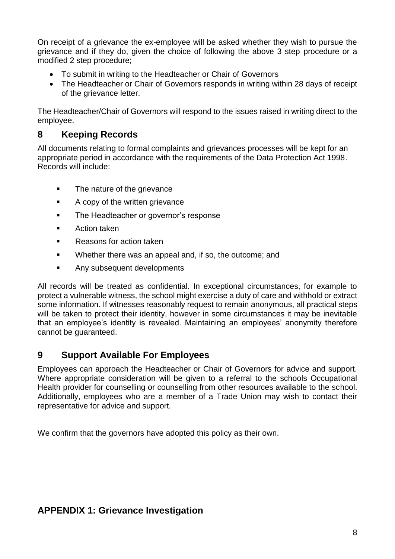On receipt of a grievance the ex-employee will be asked whether they wish to pursue the grievance and if they do, given the choice of following the above 3 step procedure or a modified 2 step procedure;

- To submit in writing to the Headteacher or Chair of Governors
- The Headteacher or Chair of Governors responds in writing within 28 days of receipt of the grievance letter.

The Headteacher/Chair of Governors will respond to the issues raised in writing direct to the employee.

### **8 Keeping Records**

All documents relating to formal complaints and grievances processes will be kept for an appropriate period in accordance with the requirements of the Data Protection Act 1998. Records will include:

- The nature of the grievance
- A copy of the written grievance
- **The Headteacher or governor's response**
- **Action taken**
- **Reasons for action taken**
- **Whether there was an appeal and, if so, the outcome; and**
- **Any subsequent developments**

All records will be treated as confidential. In exceptional circumstances, for example to protect a vulnerable witness, the school might exercise a duty of care and withhold or extract some information. If witnesses reasonably request to remain anonymous, all practical steps will be taken to protect their identity, however in some circumstances it may be inevitable that an employee's identity is revealed. Maintaining an employees' anonymity therefore cannot be guaranteed.

### **9 Support Available For Employees**

Employees can approach the Headteacher or Chair of Governors for advice and support. Where appropriate consideration will be given to a referral to the schools Occupational Health provider for counselling or counselling from other resources available to the school. Additionally, employees who are a member of a Trade Union may wish to contact their representative for advice and support.

We confirm that the governors have adopted this policy as their own.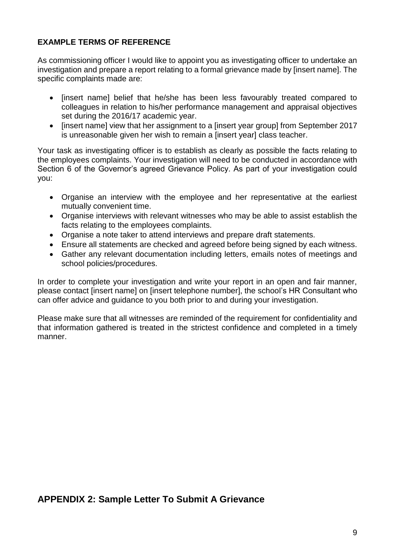#### **EXAMPLE TERMS OF REFERENCE**

As commissioning officer I would like to appoint you as investigating officer to undertake an investigation and prepare a report relating to a formal grievance made by [insert name]. The specific complaints made are:

- [insert name] belief that he/she has been less favourably treated compared to colleagues in relation to his/her performance management and appraisal objectives set during the 2016/17 academic year.
- [insert name] view that her assignment to a [insert year group] from September 2017 is unreasonable given her wish to remain a [insert year] class teacher.

Your task as investigating officer is to establish as clearly as possible the facts relating to the employees complaints. Your investigation will need to be conducted in accordance with Section 6 of the Governor's agreed Grievance Policy. As part of your investigation could you:

- Organise an interview with the employee and her representative at the earliest mutually convenient time.
- Organise interviews with relevant witnesses who may be able to assist establish the facts relating to the employees complaints.
- Organise a note taker to attend interviews and prepare draft statements.
- Ensure all statements are checked and agreed before being signed by each witness.
- Gather any relevant documentation including letters, emails notes of meetings and school policies/procedures.

In order to complete your investigation and write your report in an open and fair manner, please contact [insert name] on [insert telephone number], the school's HR Consultant who can offer advice and guidance to you both prior to and during your investigation.

Please make sure that all witnesses are reminded of the requirement for confidentiality and that information gathered is treated in the strictest confidence and completed in a timely manner.

### **APPENDIX 2: Sample Letter To Submit A Grievance**